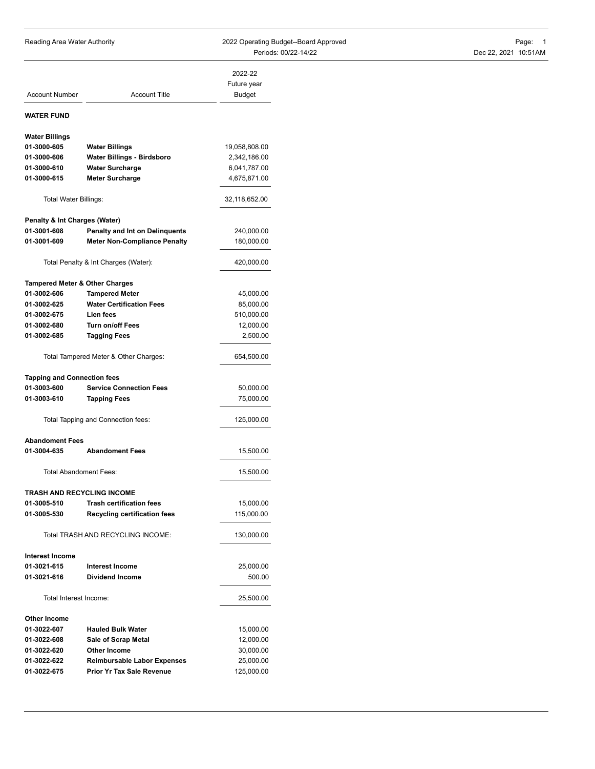| Reading Area Water Authority              |                                       | 2022 Operating Budget--Board Approved | Page: 1              |
|-------------------------------------------|---------------------------------------|---------------------------------------|----------------------|
|                                           |                                       | Periods: 00/22-14/22                  | Dec 22, 2021 10:51AM |
|                                           |                                       | 2022-22                               |                      |
|                                           |                                       | Future year                           |                      |
| <b>Account Number</b>                     | <b>Account Title</b>                  | <b>Budget</b>                         |                      |
| <b>WATER FUND</b>                         |                                       |                                       |                      |
|                                           |                                       |                                       |                      |
| <b>Water Billings</b>                     |                                       |                                       |                      |
| 01-3000-605                               | <b>Water Billings</b>                 | 19,058,808.00                         |                      |
| 01-3000-606                               | Water Billings - Birdsboro            | 2,342,186.00                          |                      |
| 01-3000-610                               | <b>Water Surcharge</b>                | 6,041,787.00                          |                      |
| 01-3000-615                               | <b>Meter Surcharge</b>                | 4,675,871.00                          |                      |
| Total Water Billings:                     |                                       | 32,118,652.00                         |                      |
| Penalty & Int Charges (Water)             |                                       |                                       |                      |
| 01-3001-608                               | Penalty and Int on Delinquents        | 240,000.00                            |                      |
| 01-3001-609                               | <b>Meter Non-Compliance Penalty</b>   | 180,000.00                            |                      |
|                                           |                                       |                                       |                      |
|                                           | Total Penalty & Int Charges (Water):  | 420,000.00                            |                      |
| <b>Tampered Meter &amp; Other Charges</b> |                                       |                                       |                      |
| 01-3002-606                               | <b>Tampered Meter</b>                 | 45,000.00                             |                      |
| 01-3002-625                               | <b>Water Certification Fees</b>       | 85,000.00                             |                      |
| 01-3002-675                               | Lien fees                             | 510,000.00                            |                      |
| 01-3002-680                               | Turn on/off Fees                      | 12,000.00                             |                      |
| 01-3002-685                               | <b>Tagging Fees</b>                   | 2,500.00                              |                      |
|                                           | Total Tampered Meter & Other Charges: | 654,500.00                            |                      |
| <b>Tapping and Connection fees</b>        |                                       |                                       |                      |
| 01-3003-600                               | <b>Service Connection Fees</b>        | 50,000.00                             |                      |
| 01-3003-610                               | <b>Tapping Fees</b>                   | 75,000.00                             |                      |
|                                           |                                       |                                       |                      |
|                                           | Total Tapping and Connection fees:    | 125,000.00                            |                      |
| <b>Abandoment Fees</b>                    |                                       |                                       |                      |
| 01-3004-635                               | <b>Abandoment Fees</b>                | 15,500.00                             |                      |
| Total Abandoment Fees:                    |                                       | 15,500.00                             |                      |
| TRASH AND RECYCLING INCOME                |                                       |                                       |                      |
| 01-3005-510                               | <b>Trash certification fees</b>       | 15,000.00                             |                      |
| 01-3005-530                               | <b>Recycling certification fees</b>   | 115,000.00                            |                      |
|                                           | Total TRASH AND RECYCLING INCOME:     | 130,000.00                            |                      |
| <b>Interest Income</b>                    |                                       |                                       |                      |
|                                           |                                       |                                       |                      |
| 01-3021-615                               | <b>Interest Income</b>                | 25,000.00                             |                      |
| 01-3021-616                               | <b>Dividend Income</b>                | 500.00                                |                      |
| Total Interest Income:                    |                                       | 25,500.00                             |                      |
| Other Income                              |                                       |                                       |                      |
| 01-3022-607                               | <b>Hauled Bulk Water</b>              | 15,000.00                             |                      |
| 01-3022-608                               | Sale of Scrap Metal                   | 12,000.00                             |                      |
| 01-3022-620                               | Other Income                          | 30,000.00                             |                      |

**01-3022-622 Reimbursable Labor Expenses** 25,000.00 **01-3022-675 Prior Yr Tax Sale Revenue** 125,000.00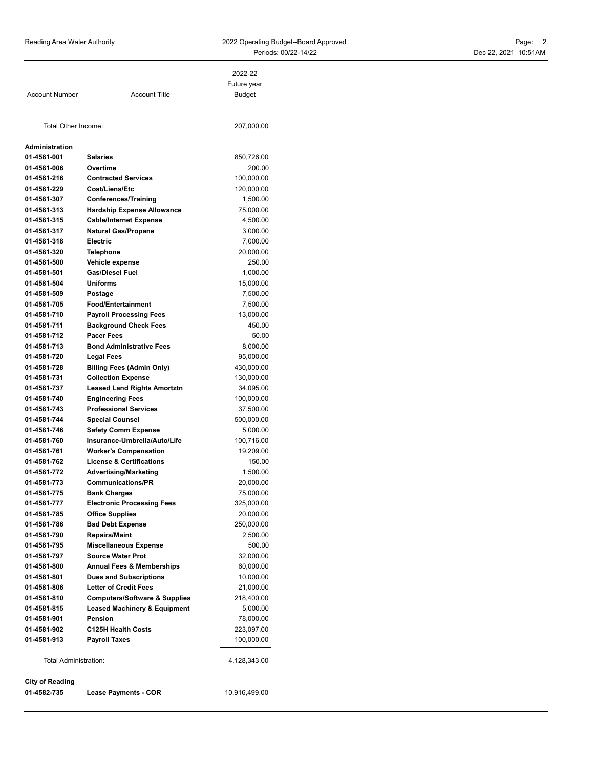Reading Area Water Authority **Contains the COST Area Contains Contains Budget--Board Approved** Page: 2 Periods: 00/22-14/22 Dec 22, 2021 10:51AM

| <b>Account Number</b>      | <b>Account Title</b>                              | 2022-22<br>Future year<br><b>Budget</b> |
|----------------------------|---------------------------------------------------|-----------------------------------------|
| Total Other Income:        |                                                   | 207,000.00                              |
| Administration             |                                                   |                                         |
| 01-4581-001                | <b>Salaries</b>                                   | 850,726.00                              |
| 01-4581-006                | Overtime                                          | 200.00                                  |
| 01-4581-216                | <b>Contracted Services</b>                        | 100,000.00                              |
| 01-4581-229                | Cost/Liens/Etc                                    | 120,000.00                              |
| 01-4581-307                | <b>Conferences/Training</b>                       | 1,500.00                                |
| 01-4581-313                | <b>Hardship Expense Allowance</b>                 | 75,000.00                               |
| 01-4581-315                | <b>Cable/Internet Expense</b>                     | 4,500.00                                |
| 01-4581-317                | <b>Natural Gas/Propane</b>                        | 3,000.00                                |
| 01-4581-318                | <b>Electric</b>                                   | 7,000.00                                |
| 01-4581-320                | Telephone                                         | 20,000.00                               |
| 01-4581-500                | Vehicle expense                                   | 250.00                                  |
| 01-4581-501                | <b>Gas/Diesel Fuel</b>                            | 1,000.00                                |
| 01-4581-504                | <b>Uniforms</b>                                   | 15,000.00                               |
| 01-4581-509                | Postage                                           | 7,500.00                                |
| 01-4581-705                | <b>Food/Entertainment</b>                         | 7,500.00                                |
| 01-4581-710                | <b>Payroll Processing Fees</b>                    | 13,000.00                               |
| 01-4581-711                | <b>Background Check Fees</b>                      | 450.00                                  |
| 01-4581-712                | <b>Pacer Fees</b>                                 | 50.00                                   |
| 01-4581-713                | <b>Bond Administrative Fees</b>                   | 8,000.00                                |
| 01-4581-720                | <b>Legal Fees</b>                                 | 95,000.00                               |
| 01-4581-728                | <b>Billing Fees (Admin Only)</b>                  | 430,000.00                              |
| 01-4581-731                | <b>Collection Expense</b>                         | 130,000.00                              |
| 01-4581-737                | <b>Leased Land Rights Amortztn</b>                | 34,095.00                               |
| 01-4581-740                | <b>Engineering Fees</b>                           | 100,000.00                              |
| 01-4581-743                | <b>Professional Services</b>                      | 37,500.00                               |
| 01-4581-744                | <b>Special Counsel</b>                            | 500,000.00                              |
| 01-4581-746                | <b>Safety Comm Expense</b>                        | 5,000.00                                |
| 01-4581-760                | Insurance-Umbrella/Auto/Life                      | 100,716.00                              |
| 01-4581-761                | <b>Worker's Compensation</b>                      | 19,209.00                               |
| 01-4581-762                | <b>License &amp; Certifications</b>               | 150.00                                  |
| 01-4581-772                | <b>Advertising/Marketing</b>                      | 1,500.00                                |
| 01-4581-773                | <b>Communications/PR</b>                          | 20,000.00                               |
| 01-4581-775                | <b>Bank Charges</b>                               | 75,000.00                               |
| 01-4581-777<br>01-4581-785 | <b>Electronic Processing Fees</b>                 | 325,000.00                              |
| 01-4581-786                | <b>Office Supplies</b><br><b>Bad Debt Expense</b> | 20,000.00                               |
| 01-4581-790                | <b>Repairs/Maint</b>                              | 250,000.00<br>2,500.00                  |
| 01-4581-795                | <b>Miscellaneous Expense</b>                      | 500.00                                  |
| 01-4581-797                | <b>Source Water Prot</b>                          | 32,000.00                               |
| 01-4581-800                | <b>Annual Fees &amp; Memberships</b>              | 60,000.00                               |
| 01-4581-801                | <b>Dues and Subscriptions</b>                     | 10,000.00                               |
| 01-4581-806                | <b>Letter of Credit Fees</b>                      | 21,000.00                               |
| 01-4581-810                | <b>Computers/Software &amp; Supplies</b>          | 218,400.00                              |
| 01-4581-815                | <b>Leased Machinery &amp; Equipment</b>           | 5,000.00                                |
| 01-4581-901                | Pension                                           | 78,000.00                               |
| 01-4581-902                | <b>C125H Health Costs</b>                         | 223,097.00                              |
| 01-4581-913                | <b>Payroll Taxes</b>                              | 100,000.00                              |
|                            |                                                   |                                         |
| Total Administration:      |                                                   | 4,128,343.00                            |
| <b>City of Reading</b>     |                                                   |                                         |
| 01-4582-735                | <b>Lease Payments - COR</b>                       | 10,916,499.00                           |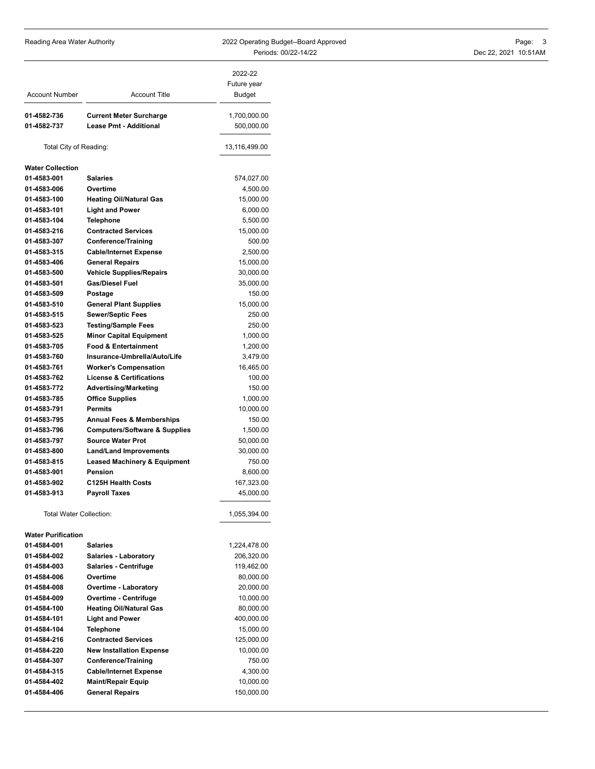Reading Area Water Authority **Contains the COST Area Contains Contains Budget--Board Approved** Page: 3 Periods: 00/22-14/22 Dec 22, 2021 10:51AM

| <b>Account Number</b>          | <b>Account Title</b>                     | 2022-22<br>Future year<br>Budget |
|--------------------------------|------------------------------------------|----------------------------------|
| 01-4582-736                    | <b>Current Meter Surcharge</b>           | 1,700,000.00                     |
| 01-4582-737                    | <b>Lease Pmt - Additional</b>            | 500,000.00                       |
| Total City of Reading:         |                                          | 13,116,499.00                    |
| <b>Water Collection</b>        |                                          |                                  |
| 01-4583-001                    | <b>Salaries</b>                          | 574,027.00                       |
| 01-4583-006                    | Overtime                                 | 4,500.00                         |
| 01-4583-100                    | <b>Heating Oil/Natural Gas</b>           | 15,000.00                        |
| 01-4583-101                    | <b>Light and Power</b>                   | 6,000.00                         |
| 01-4583-104                    | <b>Telephone</b>                         | 5,500.00                         |
| 01-4583-216                    | <b>Contracted Services</b>               | 15,000.00                        |
| 01-4583-307                    | <b>Conference/Training</b>               | 500.00                           |
| 01-4583-315                    | <b>Cable/Internet Expense</b>            | 2,500.00                         |
| 01-4583-406                    | <b>General Repairs</b>                   | 15,000.00                        |
| 01-4583-500                    | <b>Vehicle Supplies/Repairs</b>          | 30,000.00                        |
| 01-4583-501                    | <b>Gas/Diesel Fuel</b>                   | 35,000.00                        |
| 01-4583-509                    | Postage                                  | 150.00                           |
| 01-4583-510                    | <b>General Plant Supplies</b>            | 15,000.00                        |
| 01-4583-515                    | <b>Sewer/Septic Fees</b>                 | 250.00                           |
| 01-4583-523                    | <b>Testing/Sample Fees</b>               | 250.00                           |
| 01-4583-525                    | <b>Minor Capital Equipment</b>           | 1,000.00                         |
| 01-4583-705                    | <b>Food &amp; Entertainment</b>          | 1,200.00                         |
| 01-4583-760                    | Insurance-Umbrella/Auto/Life             |                                  |
|                                |                                          | 3,479.00                         |
| 01-4583-761                    | <b>Worker's Compensation</b>             | 16,465.00                        |
| 01-4583-762                    | <b>License &amp; Certifications</b>      | 100.00                           |
| 01-4583-772                    | <b>Advertising/Marketing</b>             | 150.00                           |
| 01-4583-785                    | <b>Office Supplies</b>                   | 1,000.00                         |
| 01-4583-791                    | <b>Permits</b>                           | 10,000.00                        |
| 01-4583-795                    | <b>Annual Fees &amp; Memberships</b>     | 150.00                           |
| 01-4583-796                    | <b>Computers/Software &amp; Supplies</b> | 1,500.00                         |
| 01-4583-797                    | <b>Source Water Prot</b>                 | 50,000.00                        |
| 01-4583-800                    | <b>Land/Land Improvements</b>            | 30,000.00                        |
| 01-4583-815                    | <b>Leased Machinery &amp; Equipment</b>  | 750.00                           |
| 01-4583-901                    | <b>Pension</b>                           | 8,600.00                         |
| 01-4583-902                    | C125H Health Costs                       | 167,323.00                       |
| 01-4583-913                    | <b>Payroll Taxes</b>                     | 45,000.00                        |
| <b>Total Water Collection:</b> |                                          | 1,055,394.00                     |
| <b>Water Purification</b>      |                                          |                                  |
| 01-4584-001                    | <b>Salaries</b>                          | 1,224,478.00                     |
| 01-4584-002                    | <b>Salaries - Laboratory</b>             | 206,320.00                       |
| 01-4584-003                    | <b>Salaries - Centrifuge</b>             | 119,462.00                       |
| 01-4584-006                    | Overtime                                 | 80,000.00                        |
| 01-4584-008                    | <b>Overtime - Laboratory</b>             | 20,000.00                        |
| 01-4584-009                    | <b>Overtime - Centrifuge</b>             | 10,000.00                        |
| 01-4584-100                    | <b>Heating Oil/Natural Gas</b>           | 80,000.00                        |
| 01-4584-101                    | <b>Light and Power</b>                   | 400,000.00                       |
| 01-4584-104                    | <b>Telephone</b>                         | 15,000.00                        |
| 01-4584-216                    | <b>Contracted Services</b>               | 125,000.00                       |

**01-4584-220 New Installation Expense** 10,000.00 **01-4584-307 Conference/Training** 750.00 **01-4584-315 Cable/Internet Expense** 4,300.00 **01-4584-402 Maint/Repair Equip** 10,000.00 **01-4584-406 General Repairs** 150,000.00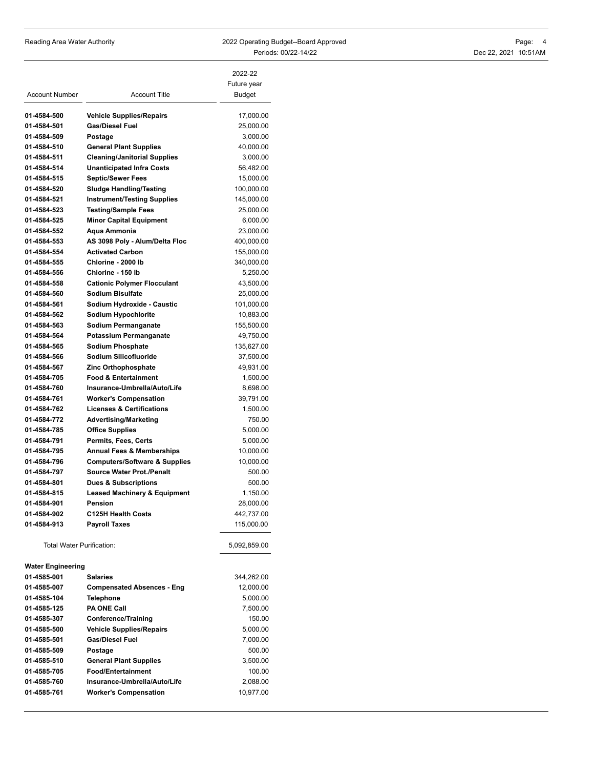| Reading Area Water Authority | 2022 Operating Budget--Board Approved | Page:                |
|------------------------------|---------------------------------------|----------------------|
|                              | Periods: 00/22-14/22                  | Dec 22, 2021 10:51AM |

| <b>Account Number</b>            | <b>Account Title</b>                                                 | 2022-22<br>Future year<br>Budget |
|----------------------------------|----------------------------------------------------------------------|----------------------------------|
| 01-4584-500                      |                                                                      | 17,000.00                        |
| 01-4584-501                      | <b>Vehicle Supplies/Repairs</b><br><b>Gas/Diesel Fuel</b>            | 25,000.00                        |
| 01-4584-509                      | Postage                                                              | 3,000.00                         |
| 01-4584-510                      | <b>General Plant Supplies</b>                                        | 40,000.00                        |
| 01-4584-511                      | <b>Cleaning/Janitorial Supplies</b>                                  | 3,000.00                         |
| 01-4584-514                      | <b>Unanticipated Infra Costs</b>                                     | 56,482.00                        |
| 01-4584-515                      | <b>Septic/Sewer Fees</b>                                             | 15,000.00                        |
| 01-4584-520                      | <b>Sludge Handling/Testing</b>                                       | 100,000.00                       |
| 01-4584-521                      | <b>Instrument/Testing Supplies</b>                                   | 145,000.00                       |
| 01-4584-523                      | <b>Testing/Sample Fees</b>                                           | 25,000.00                        |
| 01-4584-525                      | <b>Minor Capital Equipment</b>                                       | 6,000.00                         |
| 01-4584-552                      | Aqua Ammonia                                                         | 23,000.00                        |
| 01-4584-553                      | AS 3098 Poly - Alum/Delta Floc                                       | 400,000.00                       |
| 01-4584-554                      | <b>Activated Carbon</b>                                              | 155,000.00                       |
| 01-4584-555                      | Chlorine - 2000 lb                                                   | 340,000.00                       |
| 01-4584-556                      | Chlorine - 150 lb                                                    | 5,250.00                         |
| 01-4584-558                      | <b>Cationic Polymer Flocculant</b>                                   | 43,500.00                        |
| 01-4584-560                      | Sodium Bisulfate                                                     | 25,000.00                        |
| 01-4584-561                      | Sodium Hydroxide - Caustic                                           | 101,000.00                       |
| 01-4584-562                      | Sodium Hypochlorite                                                  | 10,883.00                        |
| 01-4584-563                      | Sodium Permanganate                                                  | 155,500.00                       |
| 01-4584-564                      | Potassium Permanganate                                               | 49,750.00                        |
| 01-4584-565                      | <b>Sodium Phosphate</b>                                              | 135,627.00                       |
| 01-4584-566                      | Sodium Silicofluoride                                                | 37,500.00                        |
| 01-4584-567                      | Zinc Orthophosphate                                                  | 49,931.00                        |
| 01-4584-705                      | <b>Food &amp; Entertainment</b>                                      | 1,500.00                         |
| 01-4584-760                      | Insurance-Umbrella/Auto/Life                                         | 8,698.00                         |
| 01-4584-761<br>01-4584-762       | <b>Worker's Compensation</b><br><b>Licenses &amp; Certifications</b> | 39,791.00                        |
| 01-4584-772                      | <b>Advertising/Marketing</b>                                         | 1,500.00<br>750.00               |
| 01-4584-785                      | <b>Office Supplies</b>                                               | 5,000.00                         |
| 01-4584-791                      | Permits, Fees, Certs                                                 | 5,000.00                         |
| 01-4584-795                      | <b>Annual Fees &amp; Memberships</b>                                 | 10,000.00                        |
| 01-4584-796                      | <b>Computers/Software &amp; Supplies</b>                             | 10,000.00                        |
| 01-4584-797                      | <b>Source Water Prot./Penalt</b>                                     | 500.00                           |
| 01-4584-801                      | <b>Dues &amp; Subscriptions</b>                                      | 500.00                           |
| 01-4584-815                      | <b>Leased Machinery &amp; Equipment</b>                              | 1,150.00                         |
| 01-4584-901                      | Pension                                                              | 28,000.00                        |
| 01-4584-902                      | C125H Health Costs                                                   | 442,737.00                       |
| 01-4584-913                      | <b>Payroll Taxes</b>                                                 | 115,000.00                       |
| <b>Total Water Purification:</b> |                                                                      | 5,092,859.00                     |
| <b>Water Engineering</b>         |                                                                      |                                  |
| 01-4585-001                      | <b>Salaries</b>                                                      | 344,262.00                       |
| 01-4585-007                      | <b>Compensated Absences - Eng</b>                                    | 12,000.00                        |
| 01-4585-104                      | <b>Telephone</b>                                                     | 5,000.00                         |
| 01-4585-125                      | <b>PA ONE Call</b>                                                   | 7,500.00                         |
| 01-4585-307                      | <b>Conference/Training</b>                                           | 150.00                           |
| 01-4585-500                      | <b>Vehicle Supplies/Repairs</b>                                      | 5,000.00                         |
| 01-4585-501                      | <b>Gas/Diesel Fuel</b>                                               | 7,000.00                         |
| 01-4585-509                      | Postage                                                              | 500.00                           |
| 01-4585-510                      | <b>General Plant Supplies</b>                                        | 3,500.00                         |
| 01-4585-705                      | <b>Food/Entertainment</b>                                            | 100.00                           |
| 01-4585-760                      | Insurance-Umbrella/Auto/Life                                         | 2,088.00                         |
| 01-4585-761                      | <b>Worker's Compensation</b>                                         | 10,977.00                        |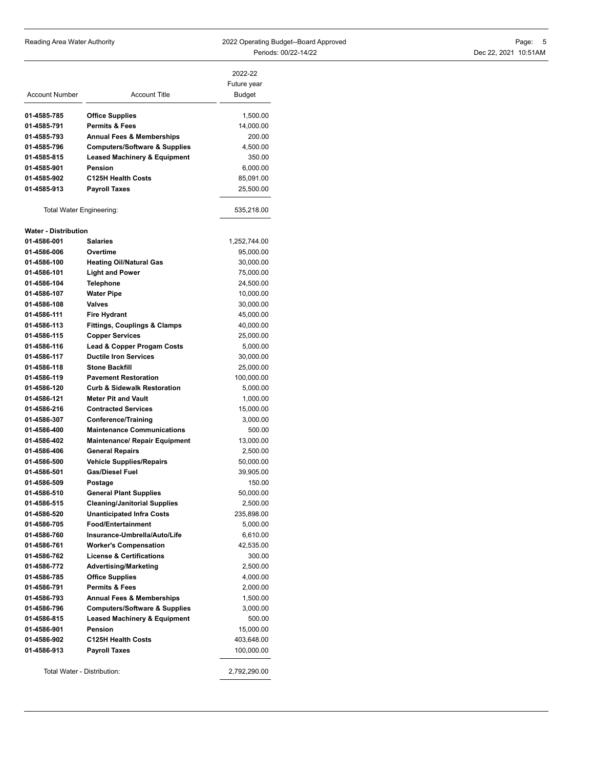Reading Area Water Authority **Contains the COST Area Contained A**pproved Page: 5 Periods: 00/22-14/22 Dec 22, 2021 10:51AM

| <b>Account Number</b>       | <b>Account Title</b>                                                    | 2022-22<br>Future year<br>Budget |
|-----------------------------|-------------------------------------------------------------------------|----------------------------------|
| 01-4585-785                 | <b>Office Supplies</b>                                                  | 1,500.00                         |
| 01-4585-791                 | Permits & Fees                                                          | 14,000.00                        |
| 01-4585-793                 | <b>Annual Fees &amp; Memberships</b>                                    | 200.00                           |
| 01-4585-796                 | <b>Computers/Software &amp; Supplies</b>                                | 4,500.00                         |
| 01-4585-815                 | <b>Leased Machinery &amp; Equipment</b>                                 | 350.00                           |
| 01-4585-901                 | <b>Pension</b>                                                          | 6,000.00                         |
| 01-4585-902                 | <b>C125H Health Costs</b>                                               | 85,091.00                        |
| 01-4585-913                 | <b>Payroll Taxes</b>                                                    | 25,500.00                        |
| Total Water Engineering:    |                                                                         | 535,218.00                       |
| <b>Water - Distribution</b> |                                                                         |                                  |
| 01-4586-001                 | <b>Salaries</b>                                                         | 1,252,744.00                     |
| 01-4586-006                 | Overtime                                                                | 95,000.00                        |
| 01-4586-100                 | <b>Heating Oil/Natural Gas</b>                                          | 30,000.00                        |
| 01-4586-101                 | <b>Light and Power</b>                                                  | 75,000.00                        |
| 01-4586-104                 | <b>Telephone</b>                                                        | 24,500.00                        |
| 01-4586-107                 | <b>Water Pipe</b>                                                       | 10,000.00                        |
| 01-4586-108                 | Valves                                                                  | 30,000.00                        |
| 01-4586-111                 | Fire Hydrant                                                            | 45,000.00                        |
| 01-4586-113                 | <b>Fittings, Couplings &amp; Clamps</b>                                 | 40,000.00                        |
| 01-4586-115                 | <b>Copper Services</b>                                                  | 25,000.00                        |
| 01-4586-116                 | Lead & Copper Progam Costs                                              | 5,000.00                         |
| 01-4586-117                 | <b>Ductile Iron Services</b>                                            | 30,000.00                        |
| 01-4586-118                 | <b>Stone Backfill</b>                                                   | 25,000.00                        |
| 01-4586-119                 | <b>Pavement Restoration</b>                                             | 100,000.00                       |
| 01-4586-120                 | <b>Curb &amp; Sidewalk Restoration</b>                                  | 5,000.00                         |
| 01-4586-121                 | <b>Meter Pit and Vault</b>                                              | 1,000.00                         |
| 01-4586-216                 | <b>Contracted Services</b>                                              | 15,000.00                        |
| 01-4586-307                 | <b>Conference/Training</b>                                              | 3,000.00                         |
| 01-4586-400                 | <b>Maintenance Communications</b>                                       | 500.00                           |
| 01-4586-402                 | <b>Maintenance/ Repair Equipment</b>                                    | 13,000.00                        |
| 01-4586-406                 | <b>General Repairs</b>                                                  | 2,500.00                         |
| 01-4586-500                 | <b>Vehicle Supplies/Repairs</b>                                         | 50,000.00                        |
| 01-4586-501                 | <b>Gas/Diesel Fuel</b>                                                  | 39,905.00                        |
| 01-4586-509                 | Postage                                                                 | 150.00                           |
| 01-4586-510                 | <b>General Plant Supplies</b>                                           | 50,000.00                        |
| 01-4586-515                 |                                                                         |                                  |
| 01-4586-520                 | <b>Cleaning/Janitorial Supplies</b><br><b>Unanticipated Infra Costs</b> | 2,500.00                         |
| 01-4586-705                 | Food/Entertainment                                                      | 235,898.00                       |
|                             |                                                                         | 5,000.00                         |
| 01-4586-760                 | Insurance-Umbrella/Auto/Life                                            | 6,610.00                         |
| 01-4586-761                 | <b>Worker's Compensation</b>                                            | 42,535.00                        |
| 01-4586-762                 | <b>License &amp; Certifications</b>                                     | 300.00                           |
| 01-4586-772                 | <b>Advertising/Marketing</b>                                            | 2,500.00                         |
| 01-4586-785                 | <b>Office Supplies</b>                                                  | 4,000.00                         |
| 01-4586-791                 | <b>Permits &amp; Fees</b>                                               | 2,000.00                         |
| 01-4586-793                 | <b>Annual Fees &amp; Memberships</b>                                    | 1,500.00                         |
| 01-4586-796                 | <b>Computers/Software &amp; Supplies</b>                                | 3,000.00                         |
| 01-4586-815                 | <b>Leased Machinery &amp; Equipment</b>                                 | 500.00                           |
| 01-4586-901                 | <b>Pension</b>                                                          | 15,000.00                        |
| 01-4586-902                 | <b>C125H Health Costs</b>                                               | 403,648.00                       |
| 01-4586-913                 | <b>Payroll Taxes</b>                                                    | 100,000.00                       |
| Total Water - Distribution: |                                                                         | 2,792,290.00                     |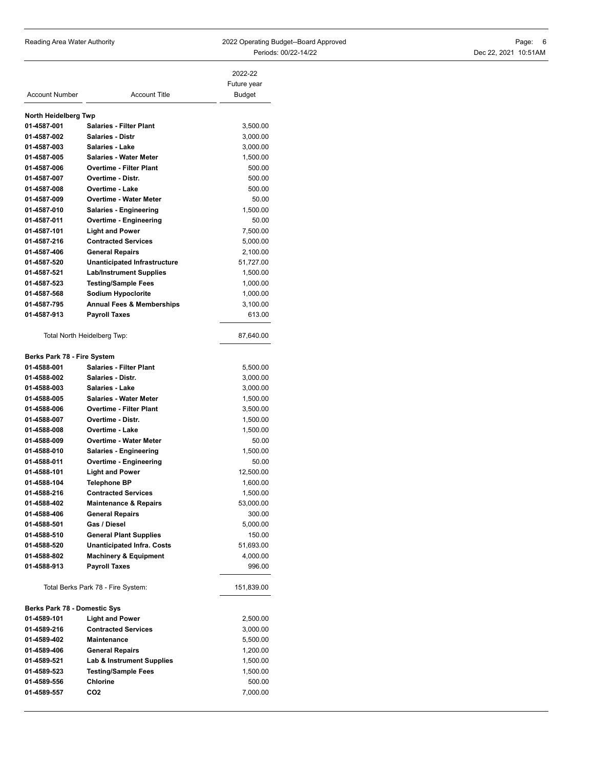Reading Area Water Authority **2022 Operating Budget--Board Approved** Periods: 00/22-14/22

|                      | Page: 6 |  |
|----------------------|---------|--|
| Dec 22, 2021 10:51AM |         |  |

|                                    |                                                                 | 2022-22<br>Future year |
|------------------------------------|-----------------------------------------------------------------|------------------------|
| <b>Account Number</b>              | <b>Account Title</b>                                            | Budget                 |
|                                    |                                                                 |                        |
| North Heidelberg Twp               |                                                                 |                        |
| 01-4587-001                        | <b>Salaries - Filter Plant</b>                                  | 3,500.00               |
| 01-4587-002                        | <b>Salaries - Distr</b>                                         | 3,000.00               |
| 01-4587-003                        | Salaries - Lake                                                 | 3,000.00               |
| 01-4587-005<br>01-4587-006         | <b>Salaries - Water Meter</b><br><b>Overtime - Filter Plant</b> | 1,500.00<br>500.00     |
| 01-4587-007                        | Overtime - Distr.                                               | 500.00                 |
| 01-4587-008                        | <b>Overtime - Lake</b>                                          | 500.00                 |
| 01-4587-009                        | <b>Overtime - Water Meter</b>                                   | 50.00                  |
| 01-4587-010                        | <b>Salaries - Engineering</b>                                   | 1,500.00               |
| 01-4587-011                        | <b>Overtime - Engineering</b>                                   | 50.00                  |
| 01-4587-101                        | <b>Light and Power</b>                                          | 7,500.00               |
| 01-4587-216                        | <b>Contracted Services</b>                                      | 5,000.00               |
| 01-4587-406                        | <b>General Repairs</b>                                          | 2,100.00               |
| 01-4587-520                        | <b>Unanticipated Infrastructure</b>                             | 51,727.00              |
| 01-4587-521                        | <b>Lab/Instrument Supplies</b>                                  | 1,500.00               |
| 01-4587-523                        | <b>Testing/Sample Fees</b>                                      | 1,000.00               |
| 01-4587-568                        | <b>Sodium Hypoclorite</b>                                       | 1,000.00               |
| 01-4587-795                        | <b>Annual Fees &amp; Memberships</b>                            | 3,100.00               |
| 01-4587-913                        | <b>Payroll Taxes</b>                                            | 613.00                 |
|                                    |                                                                 |                        |
|                                    | Total North Heidelberg Twp:                                     | 87,640.00              |
| Berks Park 78 - Fire System        |                                                                 |                        |
| 01-4588-001                        | <b>Salaries - Filter Plant</b>                                  | 5,500.00               |
| 01-4588-002                        | <b>Salaries - Distr.</b>                                        | 3,000.00               |
| 01-4588-003                        | <b>Salaries - Lake</b>                                          | 3,000.00               |
| 01-4588-005                        | <b>Salaries - Water Meter</b>                                   | 1,500.00               |
| 01-4588-006                        | <b>Overtime - Filter Plant</b>                                  | 3,500.00               |
| 01-4588-007                        | Overtime - Distr.                                               | 1,500.00               |
| 01-4588-008                        | Overtime - Lake                                                 | 1,500.00               |
| 01-4588-009                        | <b>Overtime - Water Meter</b>                                   | 50.00                  |
| 01-4588-010                        | <b>Salaries - Engineering</b>                                   | 1,500.00               |
| 01-4588-011                        | <b>Overtime - Engineering</b>                                   | 50.00                  |
| 01-4588-101                        | <b>Light and Power</b>                                          | 12,500.00              |
| 01-4588-104                        | <b>Telephone BP</b>                                             | 1,600.00               |
| 01-4588-216                        | <b>Contracted Services</b>                                      | 1,500.00               |
| 01-4588-402                        | <b>Maintenance &amp; Repairs</b>                                | 53,000.00              |
| 01-4588-406                        | <b>General Repairs</b>                                          | 300.00                 |
| 01-4588-501                        | Gas / Diesel                                                    | 5,000.00               |
| 01-4588-510                        | <b>General Plant Supplies</b>                                   | 150.00                 |
| 01-4588-520                        | <b>Unanticipated Infra. Costs</b>                               | 51,693.00              |
| 01-4588-802                        | <b>Machinery &amp; Equipment</b>                                | 4,000.00               |
| 01-4588-913                        | <b>Payroll Taxes</b>                                            | 996.00                 |
| Total Berks Park 78 - Fire System: |                                                                 | 151,839.00             |
| Berks Park 78 - Domestic Sys       |                                                                 |                        |
| 01-4589-101                        | <b>Light and Power</b>                                          | 2,500.00               |
| 01-4589-216                        | <b>Contracted Services</b>                                      | 3,000.00               |
| 01-4589-402                        | Maintenance                                                     | 5,500.00               |
| 01-4589-406                        | <b>General Repairs</b>                                          | 1,200.00               |
| 01-4589-521                        | Lab & Instrument Supplies                                       | 1,500.00               |
| 01-4589-523                        | <b>Testing/Sample Fees</b>                                      | 1,500.00               |
| 01-4589-556                        | <b>Chlorine</b>                                                 | 500.00                 |
| 01-4589-557                        | CO <sub>2</sub>                                                 | 7,000.00               |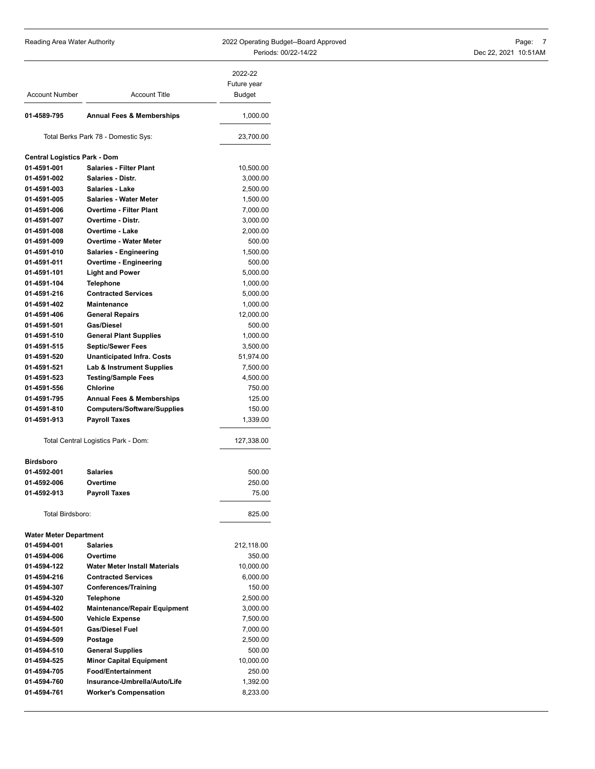Reading Area Water Authority **Contains the COST Area Contained A**pproved Page: 7 Periods: 00/22-14/22 Dec 22, 2021 10:51AM

|                                     |                                      | 2022-22<br>Future year |
|-------------------------------------|--------------------------------------|------------------------|
| <b>Account Number</b>               | <b>Account Title</b>                 | <b>Budget</b>          |
|                                     |                                      |                        |
| 01-4589-795                         | <b>Annual Fees &amp; Memberships</b> | 1,000.00               |
|                                     | Total Berks Park 78 - Domestic Sys:  | 23,700.00              |
| <b>Central Logistics Park - Dom</b> |                                      |                        |
| 01-4591-001                         | <b>Salaries - Filter Plant</b>       | 10,500.00              |
| 01-4591-002                         | Salaries - Distr.                    | 3,000.00               |
| 01-4591-003                         | Salaries - Lake                      | 2,500.00               |
| 01-4591-005                         | <b>Salaries - Water Meter</b>        | 1,500.00               |
| 01-4591-006                         | <b>Overtime - Filter Plant</b>       | 7,000.00               |
| 01-4591-007                         | Overtime - Distr.                    | 3,000.00               |
| 01-4591-008                         | <b>Overtime - Lake</b>               | 2,000.00               |
| 01-4591-009                         | <b>Overtime - Water Meter</b>        | 500.00                 |
| 01-4591-010                         | Salaries - Engineering               | 1,500.00               |
| 01-4591-011                         | Overtime - Engineering               | 500.00                 |
| 01-4591-101                         | <b>Light and Power</b>               | 5,000.00               |
| 01-4591-104                         | <b>Telephone</b>                     | 1,000.00               |
| 01-4591-216                         | <b>Contracted Services</b>           | 5,000.00               |
| 01-4591-402                         | Maintenance                          | 1,000.00               |
| 01-4591-406                         | <b>General Repairs</b>               | 12,000.00              |
| 01-4591-501                         | Gas/Diesel                           | 500.00                 |
| 01-4591-510                         | <b>General Plant Supplies</b>        | 1,000.00               |
| 01-4591-515                         | <b>Septic/Sewer Fees</b>             | 3,500.00               |
| 01-4591-520                         | <b>Unanticipated Infra. Costs</b>    | 51,974.00              |
| 01-4591-521                         | <b>Lab &amp; Instrument Supplies</b> | 7,500.00               |
| 01-4591-523                         | <b>Testing/Sample Fees</b>           | 4,500.00               |
| 01-4591-556                         | <b>Chlorine</b>                      | 750.00                 |
| 01-4591-795                         | <b>Annual Fees &amp; Memberships</b> | 125.00                 |
| 01-4591-810                         | <b>Computers/Software/Supplies</b>   | 150.00                 |
| 01-4591-913                         | <b>Payroll Taxes</b>                 | 1,339.00               |
|                                     | Total Central Logistics Park - Dom:  | 127,338.00             |
| <b>Birdsboro</b>                    |                                      |                        |
| 01-4592-001                         | <b>Salaries</b>                      | 500.00                 |
| 01-4592-006                         | Overtime                             | 250.00                 |
| 01-4592-913                         | <b>Payroll Taxes</b>                 | 75.00                  |
| Total Birdsboro:                    |                                      | 825.00                 |
| <b>Water Meter Department</b>       |                                      |                        |
| 01-4594-001                         | <b>Salaries</b>                      | 212,118.00             |
| 01-4594-006                         | Overtime                             | 350.00                 |
| 01-4594-122                         | <b>Water Meter Install Materials</b> | 10,000.00              |
| 01-4594-216                         | <b>Contracted Services</b>           | 6,000.00               |
| 01-4594-307                         | <b>Conferences/Training</b>          | 150.00                 |
| 01-4594-320                         | <b>Telephone</b>                     | 2,500.00               |
| 01-4594-402                         | <b>Maintenance/Repair Equipment</b>  | 3,000.00               |
| 01-4594-500                         | <b>Vehicle Expense</b>               | 7,500.00               |
| 01-4594-501                         | <b>Gas/Diesel Fuel</b>               | 7,000.00               |
| 01-4594-509                         | Postage                              | 2,500.00               |
| 01-4594-510                         | <b>General Supplies</b>              | 500.00                 |
| 01-4594-525                         | <b>Minor Capital Equipment</b>       | 10,000.00              |
| 01-4594-705                         | <b>Food/Entertainment</b>            | 250.00                 |
| 01-4594-760                         | Insurance-Umbrella/Auto/Life         | 1,392.00               |
| 01-4594-761                         | <b>Worker's Compensation</b>         | 8,233.00               |